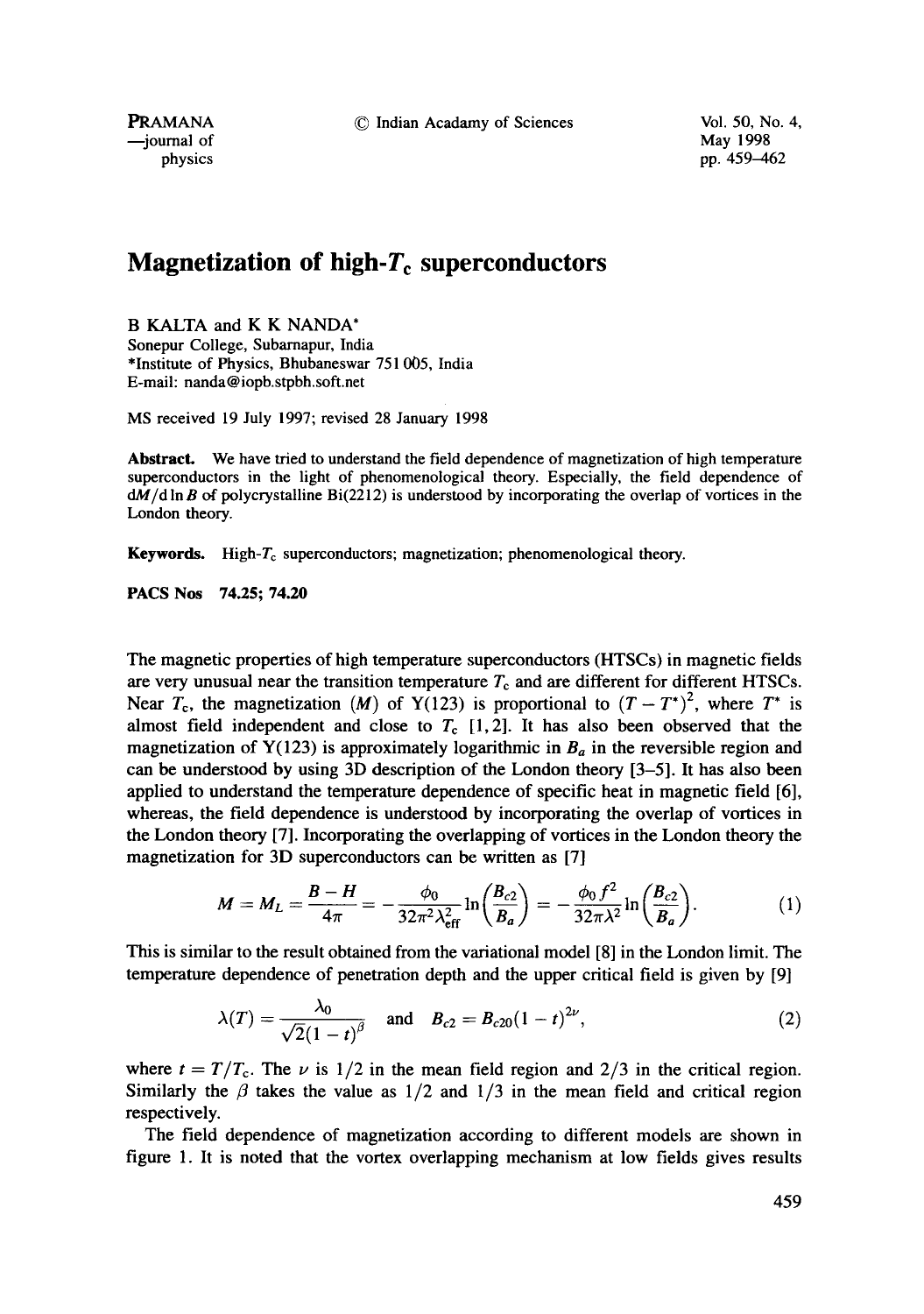© Indian Acadamy of Sciences Vol. 50, No. 4,

PRAMANA --journal of physics May 1998 pp. 459-462

## **Magnetization of high-T<sub>c</sub> superconductors**

B KALTA and K K NANDA\* Sonepur College, Subarnapur, India \*Institute of Physics, Bhubaneswar 751 005, India E-mail: nanda@iopb.stpbh.soft.net

MS received 19 July 1997; revised 28 January 1998

Abstract. We have tried to understand the field dependence of magnetization of high temperature superconductors in the light of phenomenological theory. Especially, the field dependence of  $dM/d \ln B$  of polycrystalline Bi(2212) is understood by incorporating the overlap of vortices in the London theory.

**Keywords.** High- $T_c$  superconductors; magnetization; phenomenological theory.

**PACS Nos 74.25; 74.20** 

The magnetic properties of high temperature superconductors (HTSCs) in magnetic fields are very unusual near the transition temperature  $T_c$  and are different for different HTSCs. Near  $T_c$ , the magnetization (M) of Y(123) is proportional to  $(T - T^*)^2$ , where  $T^*$  is almost field independent and close to  $T_c$  [1, 2]. It has also been observed that the magnetization of  $Y(123)$  is approximately logarithmic in  $B_a$  in the reversible region and can be understood by using 3D description of the London theory [3-5]. It has also been applied to understand the temperature dependence of specific heat in magnetic field [6], whereas, the field dependence is understood by incorporating the overlap of vortices in the London theory [7]. Incorporating the overlapping of vortices in the London theory the magnetization for 3D superconductors can be written as [7]

$$
M = M_L = \frac{B - H}{4\pi} = -\frac{\phi_0}{32\pi^2 \lambda_{\text{eff}}^2} \ln\left(\frac{B_{c2}}{B_a}\right) = -\frac{\phi_0 f^2}{32\pi \lambda^2} \ln\left(\frac{B_{c2}}{B_a}\right). \tag{1}
$$

This is similar to the result obtained from the variational model [8] in the London limit. The temperature dependence of penetration depth and the upper critical field is given by [9]

$$
\lambda(T) = \frac{\lambda_0}{\sqrt{2}(1-t)^{\beta}} \quad \text{and} \quad B_{c2} = B_{c20}(1-t)^{2\nu}, \tag{2}
$$

where  $t = T/T_c$ . The  $\nu$  is 1/2 in the mean field region and 2/3 in the critical region. Similarly the  $\beta$  takes the value as 1/2 and 1/3 in the mean field and critical region respectively.

The field dependence of magnetization according to different models are shown in figure 1. It is noted that the vortex overlapping mechanism at low fields gives results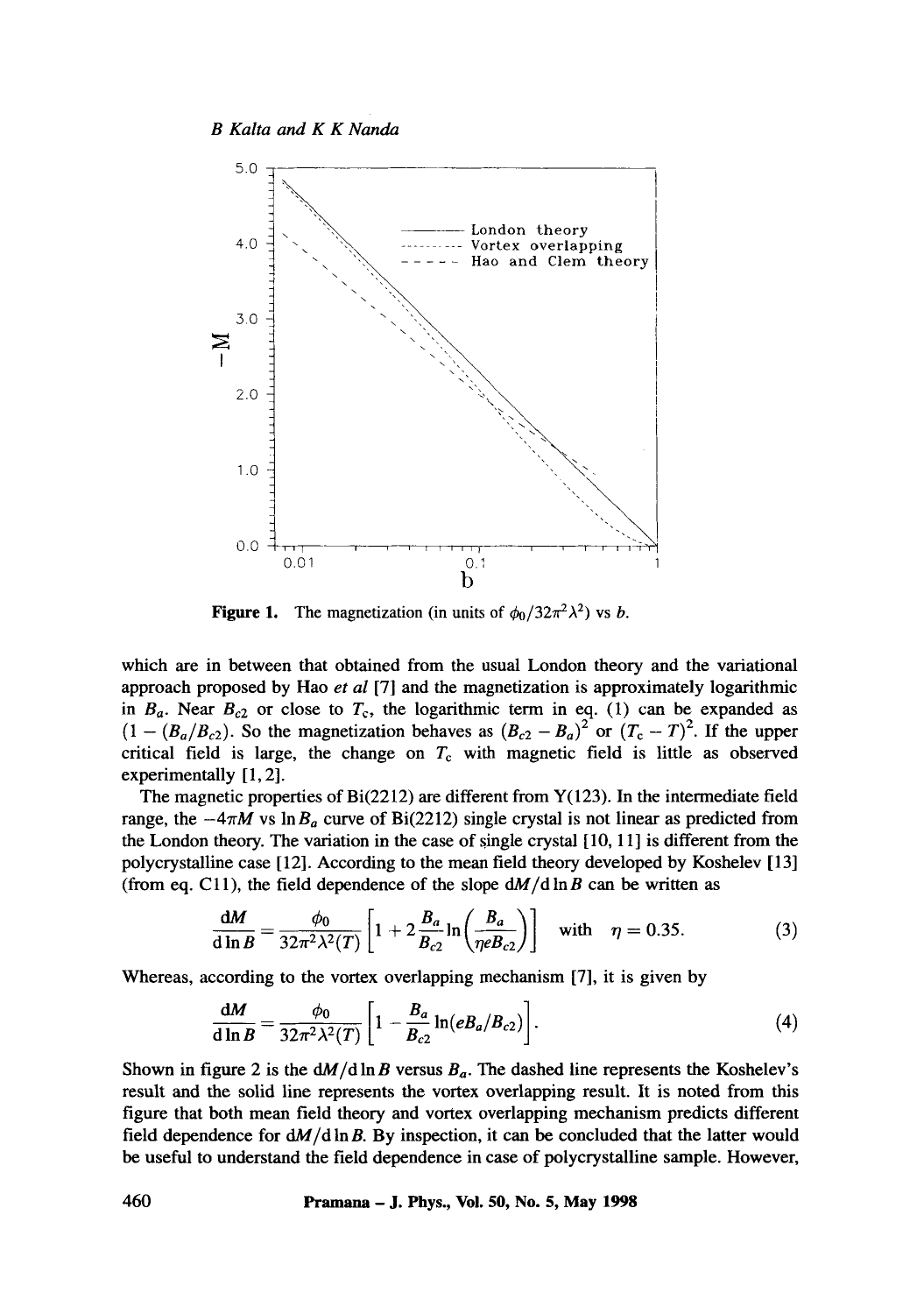

**Figure 1.** The magnetization (in units of  $\phi_0/32\pi^2\lambda^2$ ) vs *b*.

which are in between that obtained from the usual London theory and the variational approach proposed by Hao *et al* [7] and the magnetization is approximately logarithmic in  $B_a$ . Near  $B_{c2}$  or close to  $T_c$ , the logarithmic term in eq. (1) can be expanded as  $(1 - (B_a/B_{c2})$ . So the magnetization behaves as  $(B_{c2} - B_a)^2$  or  $(T_c - T)^2$ . If the upper critical field is large, the change on  $T_c$  with magnetic field is little as observed experimentally [1, 2].

The magnetic properties of  $Bi(2212)$  are different from  $Y(123)$ . In the intermediate field range, the  $-4\pi M$  vs  $\ln B_a$  curve of Bi(2212) single crystal is not linear as predicted from the London theory. The variation in the case of single crystal [10, 11] is different from the polycrystalline case [12]. According to the mean field theory developed by Koshelev [13] (from eq. C11), the field dependence of the slope  $dM/d \ln B$  can be written as

$$
\frac{\mathrm{d}M}{\mathrm{d}\ln B} = \frac{\phi_0}{32\pi^2\lambda^2(T)} \left[ 1 + 2\frac{B_a}{B_{c2}} \ln\left(\frac{B_a}{\eta e B_{c2}}\right) \right] \quad \text{with} \quad \eta = 0.35. \tag{3}
$$

Whereas, according to the vortex overlapping mechanism [7], it is given by

$$
\frac{\mathrm{d}M}{\mathrm{d}\ln B} = \frac{\phi_0}{32\pi^2\lambda^2(T)} \left[ 1 - \frac{B_a}{B_{c2}} \ln(eB_a/B_{c2}) \right]. \tag{4}
$$

Shown in figure 2 is the  $\frac{dM}{dh}B$  versus  $B_a$ . The dashed line represents the Koshelev's result and the solid line represents the vortex overlapping result. It is noted from this figure that both mean field theory and vortex overlapping mechanism predicts different field dependence for  $dM/d \ln B$ . By inspection, it can be concluded that the latter would be useful to understand the field dependence in case of polycrystalline sample. However,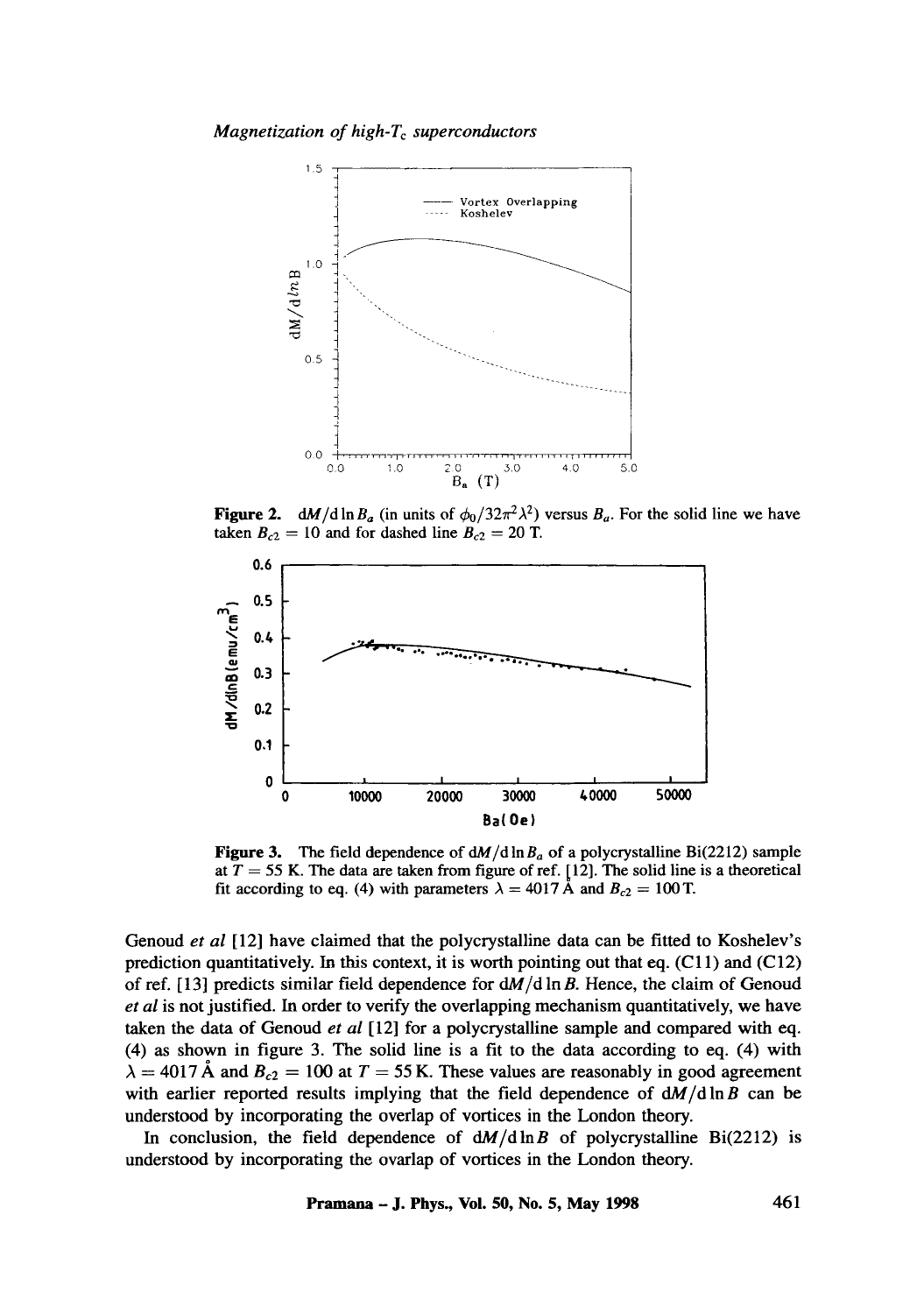*Magnetization of high-T<sub>c</sub> superconductors* 



**Figure 2.**  $dM/d \ln B_a$  (in units of  $\phi_0/32\pi^2\lambda^2$ ) versus  $B_a$ . For the solid line we have taken  $B_{c2} = 10$  and for dashed line  $B_{c2} = 20$  T.



Figure **3.** The field dependence of dM/d In *Ba* of a polycrystalline Bi(2212) sample at  $T = 55$  K. The data are taken from figure of ref. [12]. The solid line is a theoretical fit according to eq. (4) with parameters  $\lambda = 4017$  Å and  $B_{c2} = 100$  T.

Genoud *et al* [12] have claimed that the polycrystalline data can be fitted to Koshelev's prediction quantitatively. In this context, it is worth pointing out that eq.  $(C11)$  and  $(C12)$ of ref.  $[13]$  predicts similar field dependence for  $dM/d \ln B$ . Hence, the claim of Genoud *et al* is not justified. In order to verify the overlapping mechanism quantitatively, we have taken the data of Genoud *et al* [12] for a polycrystalline sample and compared with eq. (4) as shown in figure 3. The solid line is a fit to the data according to eq. (4) with  $\lambda = 4017 \text{ Å}$  and  $B_{c2} = 100$  at  $T = 55 \text{ K}$ . These values are reasonably in good agreement with earlier reported results implying that the field dependence of  $dM/d \ln B$  can be understood by incorporating the overlap of vortices in the London theory.

In conclusion, the field dependence of  $\frac{dM}{d\ln B}$  of polycrystalline Bi(2212) is understood by incorporating the ovarlap of vortices in the London theory.